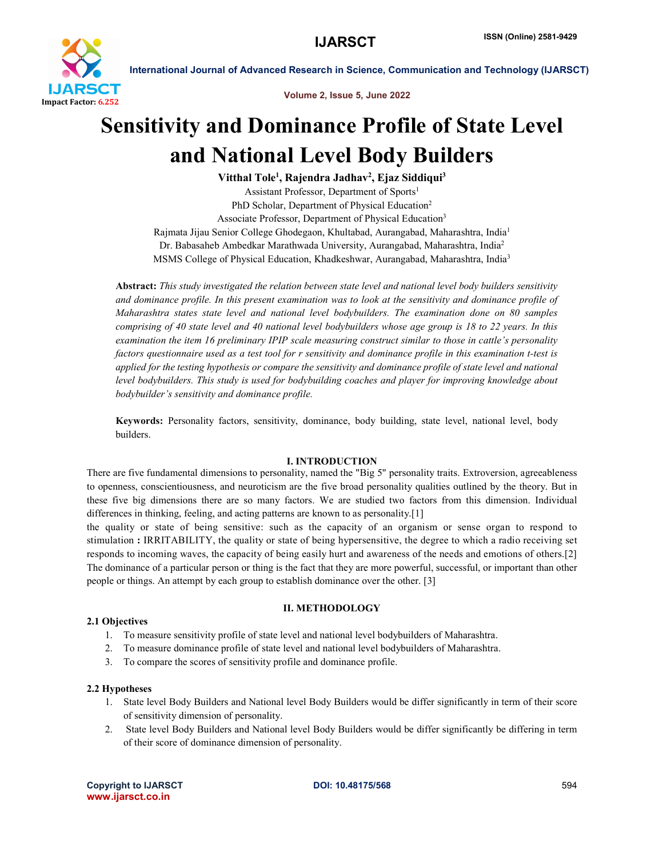

International Journal of Advanced Research in Science, Communication and Technology (IJARSCT)

Volume 2, Issue 5, June 2022

# Sensitivity and Dominance Profile of State Level and National Level Body Builders

Vitthal Tole<sup>1</sup>, Rajendra Jadhav<sup>2</sup>, Ejaz Siddiqui<sup>3</sup> Assistant Professor, Department of Sports1 PhD Scholar, Department of Physical Education<sup>2</sup> Associate Professor, Department of Physical Education<sup>3</sup> Rajmata Jijau Senior College Ghodegaon, Khultabad, Aurangabad, Maharashtra, India1 Dr. Babasaheb Ambedkar Marathwada University, Aurangabad, Maharashtra, India2 MSMS College of Physical Education, Khadkeshwar, Aurangabad, Maharashtra, India3

Abstract: *This study investigated the relation between state level and national level body builders sensitivity and dominance profile. In this present examination was to look at the sensitivity and dominance profile of Maharashtra states state level and national level bodybuilders. The examination done on 80 samples comprising of 40 state level and 40 national level bodybuilders whose age group is 18 to 22 years. In this examination the item 16 preliminary IPIP scale measuring construct similar to those in cattle's personality factors questionnaire used as a test tool for r sensitivity and dominance profile in this examination t-test is applied for the testing hypothesis or compare the sensitivity and dominance profile of state level and national level bodybuilders. This study is used for bodybuilding coaches and player for improving knowledge about bodybuilder's sensitivity and dominance profile.*

Keywords: Personality factors, sensitivity, dominance, body building, state level, national level, body builders.

### I. INTRODUCTION

There are five fundamental dimensions to personality, named the "Big 5" personality traits. Extroversion, agreeableness to openness, conscientiousness, and neuroticism are the five broad personality qualities outlined by the theory. But in these five big dimensions there are so many factors. We are studied two factors from this dimension. Individual differences in thinking, feeling, and acting patterns are known to as personality.[1]

the quality or state of being sensitive: such as the capacity of an organism or sense organ to respond to stimulation : IRRITABILITY, the quality or state of being hypersensitive, the degree to which a radio receiving set responds to incoming waves, the capacity of being easily hurt and awareness of the needs and emotions of others.[2] The dominance of a particular person or thing is the fact that they are more powerful, successful, or important than other people or things. An attempt by each group to establish dominance over the other. [3]

## II. METHODOLOGY

### 2.1 Objectives

- 1. To measure sensitivity profile of state level and national level bodybuilders of Maharashtra.
- 2. To measure dominance profile of state level and national level bodybuilders of Maharashtra.
- 3. To compare the scores of sensitivity profile and dominance profile.

#### 2.2 Hypotheses

- 1. State level Body Builders and National level Body Builders would be differ significantly in term of their score of sensitivity dimension of personality.
- 2. State level Body Builders and National level Body Builders would be differ significantly be differing in term of their score of dominance dimension of personality.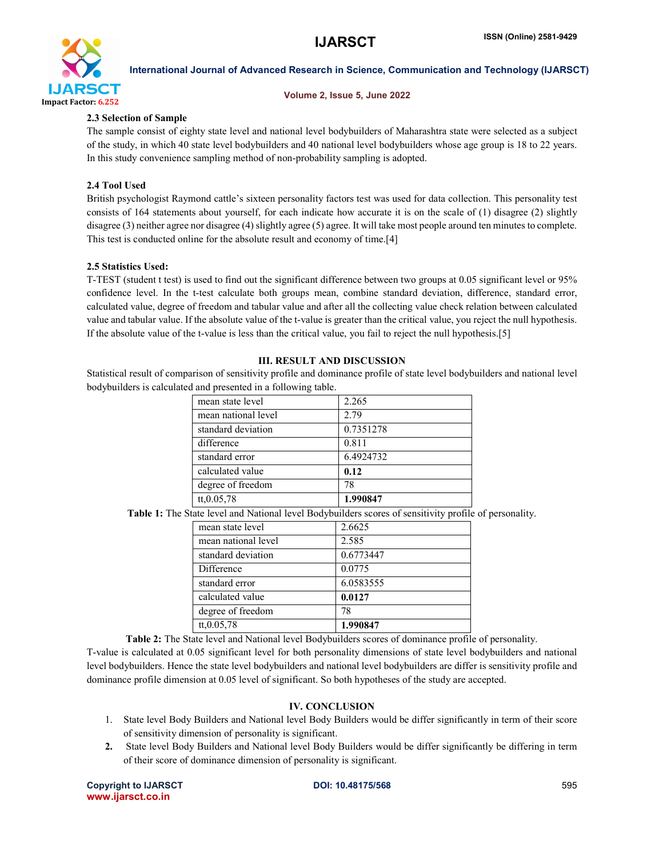

International Journal of Advanced Research in Science, Communication and Technology (IJARSCT)

#### Volume 2, Issue 5, June 2022

#### 2.3 Selection of Sample

The sample consist of eighty state level and national level bodybuilders of Maharashtra state were selected as a subject of the study, in which 40 state level bodybuilders and 40 national level bodybuilders whose age group is 18 to 22 years. In this study convenience sampling method of non-probability sampling is adopted.

#### 2.4 Tool Used

British psychologist Raymond cattle's sixteen personality factors test was used for data collection. This personality test consists of 164 statements about yourself, for each indicate how accurate it is on the scale of (1) disagree (2) slightly disagree (3) neither agree nor disagree (4) slightly agree (5) agree. It will take most people around ten minutes to complete. This test is conducted online for the absolute result and economy of time.[4]

#### 2.5 Statistics Used:

T-TEST (student t test) is used to find out the significant difference between two groups at 0.05 significant level or 95% confidence level. In the t-test calculate both groups mean, combine standard deviation, difference, standard error, calculated value, degree of freedom and tabular value and after all the collecting value check relation between calculated value and tabular value. If the absolute value of the t-value is greater than the critical value, you reject the null hypothesis. If the absolute value of the t-value is less than the critical value, you fail to reject the null hypothesis.[5]

### III. RESULT AND DISCUSSION

Statistical result of comparison of sensitivity profile and dominance profile of state level bodybuilders and national level bodybuilders is calculated and presented in a following table.

| mean state level    | 2.265     |
|---------------------|-----------|
| mean national level | 2.79      |
| standard deviation  | 0.7351278 |
| difference          | 0.811     |
| standard error      | 6.4924732 |
| calculated value    | 0.12      |
| degree of freedom   | 78        |
| tt, 0.05, 78        | 1.990847  |

Table 1: The State level and National level Bodybuilders scores of sensitivity profile of personality.

| mean state level    | 2.6625    |
|---------------------|-----------|
| mean national level | 2.585     |
| standard deviation  | 0.6773447 |
| Difference          | 0.0775    |
| standard error      | 6.0583555 |
| calculated value    | 0.0127    |
| degree of freedom   | 78        |
| tt, 0.05, 78        | 1.990847  |

Table 2: The State level and National level Bodybuilders scores of dominance profile of personality. T-value is calculated at 0.05 significant level for both personality dimensions of state level bodybuilders and national level bodybuilders. Hence the state level bodybuilders and national level bodybuilders are differ is sensitivity profile and dominance profile dimension at 0.05 level of significant. So both hypotheses of the study are accepted.

#### IV. CONCLUSION

- 1. State level Body Builders and National level Body Builders would be differ significantly in term of their score of sensitivity dimension of personality is significant.
- 2. State level Body Builders and National level Body Builders would be differ significantly be differing in term of their score of dominance dimension of personality is significant.

Copyright to IJARSCT **DOI: 10.48175/568** 595 www.ijarsct.co.in